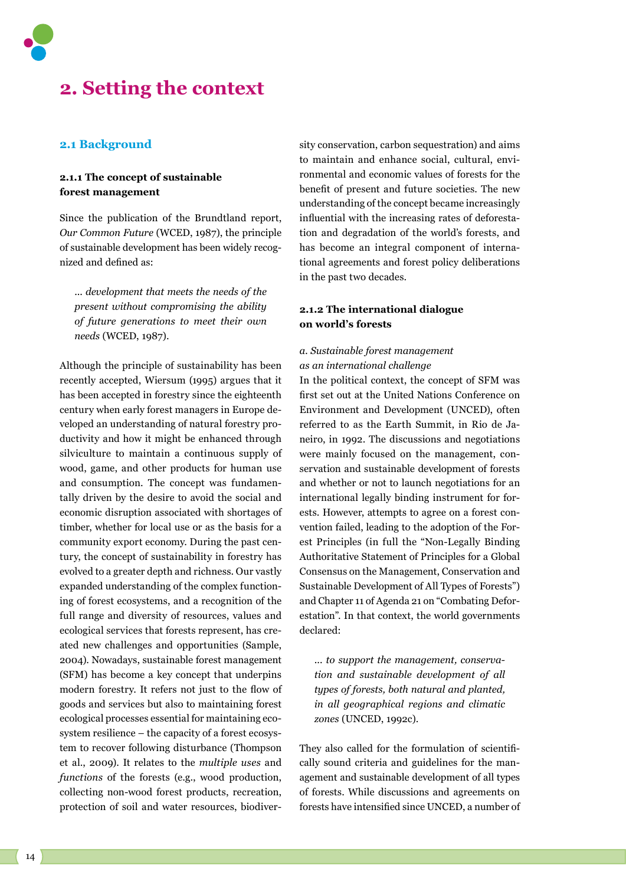

# **2. Setting the context**

## **2.1 Background**

# **2.1.1 The concept of sustainable forest management**

Since the publication of the Brundtland report, *Our Common Future* (WCED, 1987), the principle of sustainable development has been widely recognized and defined as:

... *development that meets the needs of the present without compromising the ability of future generations to meet their own needs* (WCED, 1987).

Although the principle of sustainability has been recently accepted, Wiersum (1995) argues that it has been accepted in forestry since the eighteenth century when early forest managers in Europe developed an understanding of natural forestry productivity and how it might be enhanced through silviculture to maintain a continuous supply of wood, game, and other products for human use and consumption. The concept was fundamentally driven by the desire to avoid the social and economic disruption associated with shortages of timber, whether for local use or as the basis for a community export economy. During the past century, the concept of sustainability in forestry has evolved to a greater depth and richness. Our vastly expanded understanding of the complex functioning of forest ecosystems, and a recognition of the full range and diversity of resources, values and ecological services that forests represent, has created new challenges and opportunities (Sample, 2004). Nowadays, sustainable forest management (SFM) has become a key concept that underpins modern forestry. It refers not just to the flow of goods and services but also to maintaining forest ecological processes essential for maintaining ecosystem resilience – the capacity of a forest ecosystem to recover following disturbance (Thompson et al., 2009). It relates to the *multiple uses* and *functions* of the forests (e.g., wood production, collecting non-wood forest products, recreation, protection of soil and water resources, biodiver-

sity conservation, carbon sequestration) and aims to maintain and enhance social, cultural, environmental and economic values of forests for the benefit of present and future societies. The new understanding of the concept became increasingly influential with the increasing rates of deforestation and degradation of the world's forests, and has become an integral component of international agreements and forest policy deliberations in the past two decades.

## **2.1.2 The international dialogue on world's forests**

# *a. Sustainable forest management as an international challenge*

In the political context, the concept of SFM was first set out at the United Nations Conference on Environment and Development (UNCED), often referred to as the Earth Summit, in Rio de Janeiro, in 1992. The discussions and negotiations were mainly focused on the management, conservation and sustainable development of forests and whether or not to launch negotiations for an international legally binding instrument for forests. However, attempts to agree on a forest convention failed, leading to the adoption of the Forest Principles (in full the "Non-Legally Binding Authoritative Statement of Principles for a Global Consensus on the Management, Conservation and Sustainable Development of All Types of Forests") and Chapter 11 of Agenda 21 on "Combating Deforestation". In that context, the world governments declared:

... *to support the management, conservation and sustainable development of all types of forests, both natural and planted, in all geographical regions and climatic zones* (UNCED, 1992c).

They also called for the formulation of scientifically sound criteria and guidelines for the management and sustainable development of all types of forests. While discussions and agreements on forests have intensified since UNCED, a number of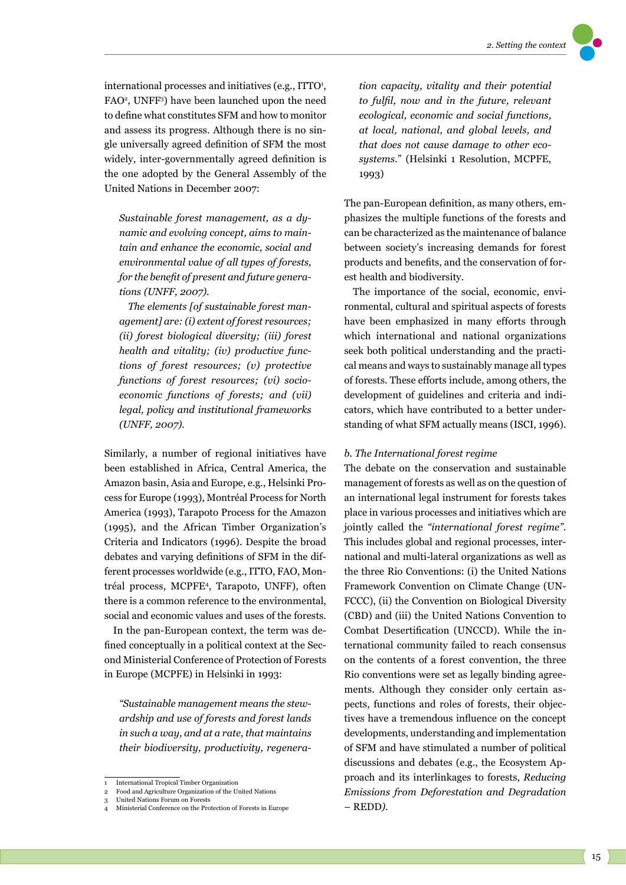international processes and initiatives (e.g., ITTO<sup>1</sup>, FAO<sup>2</sup>, UNFF<sup>3</sup>) have been launched upon the need to define what constitutes SFM and how to monitor and assess its progress. Although there is no single universally agreed definition of SFM the most widely, inter-governmentally agreed definition is the one adopted by the General Assembly of the United Nations in December 2007:

*Sustainable forest management, as a dynamic and evolving concept, aims to maintain and enhance the economic, social and environmental value of all types of forests, for the benefit of present and future generations (UNFF, 2007).* 

*The elements [of sustainable forest management] are: (i) extent of forest resources; (ii) forest biological diversity; (iii) forest health and vitality; (iv) productive functions of forest resources; (v) protective functions of forest resources; (vi) socioeconomic functions of forests; and (vii) legal, policy and institutional frameworks (UNFF, 2007).* 

Similarly, a number of regional initiatives have been established in Africa, Central America, the Amazon basin, Asia and Europe, e.g., Helsinki Process for Europe (1993), Montréal Process for North America (1993), Tarapoto Process for the Amazon (1995), and the African Timber Organization's Criteria and Indicators (1996). Despite the broad debates and varying definitions of SFM in the different processes worldwide (e.g., ITTO, FAO, Montréal process, MCPFE<sup>4</sup>, Tarapoto, UNFF), often there is a common reference to the environmental, social and economic values and uses of the forests.

In the pan-European context, the term was defined conceptually in a political context at the Second Ministerial Conference of Protection of Forests in Europe (MCPFE) in Helsinki in 1993:

*"Sustainable management means the stewardship and use of forests and forest lands in such a way, and at a rate, that maintains their biodiversity, productivity, regenera-* *tion capacity, vitality and their potential to fulfil, now and in the future, relevant ecological, economic and social functions, at local, national, and global levels, and that does not cause damage to other ecosystems.*" (Helsinki 1 Resolution, MCPFE, 1993)

The pan-European definition, as many others, emphasizes the multiple functions of the forests and can be characterized as the maintenance of balance between society's increasing demands for forest products and benefits, and the conservation of forest health and biodiversity.

The importance of the social, economic, environmental, cultural and spiritual aspects of forests have been emphasized in many efforts through which international and national organizations seek both political understanding and the practical means and ways to sustainably manage all types of forests. These efforts include, among others, the development of guidelines and criteria and indicators, which have contributed to a better understanding of what SFM actually means (ISCI, 1996).

#### *b. The International forest regime*

The debate on the conservation and sustainable management of forests as well as on the question of an international legal instrument for forests takes place in various processes and initiatives which are jointly called the *"international forest regime"*. This includes global and regional processes, international and multi-lateral organizations as well as the three Rio Conventions: (i) the United Nations Framework Convention on Climate Change (UN-FCCC), (ii) the Convention on Biological Diversity (CBD) and (iii) the United Nations Convention to Combat Desertification (UNCCD). While the international community failed to reach consensus on the contents of a forest convention, the three Rio conventions were set as legally binding agreements. Although they consider only certain aspects, functions and roles of forests, their objectives have a tremendous influence on the concept developments, understanding and implementation of SFM and have stimulated a number of political discussions and debates (e.g., the Ecosystem Approach and its interlinkages to forests, *Reducing Emissions from Deforestation and Degradation*  – REDD*).*

<sup>1</sup> International Tropical Timber Organization 2 Food and Agriculture Organization of the United Nations

<sup>3</sup> United Nations Forum on Forests

<sup>4</sup> Ministerial Conference on the Protection of Forests in Europe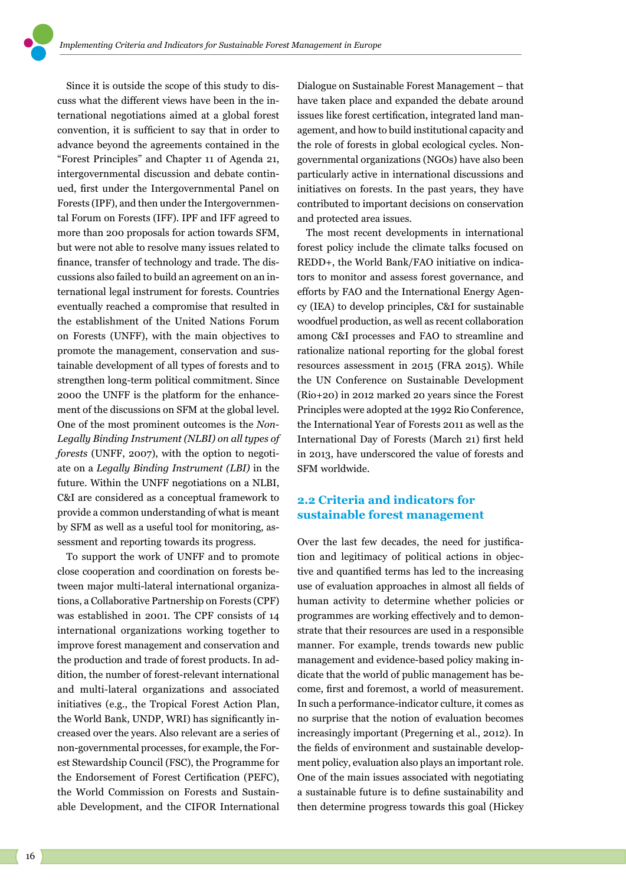Since it is outside the scope of this study to discuss what the different views have been in the international negotiations aimed at a global forest convention, it is sufficient to say that in order to advance beyond the agreements contained in the "Forest Principles" and Chapter 11 of Agenda 21, intergovernmental discussion and debate continued, first under the Intergovernmental Panel on Forests (IPF), and then under the Intergovernmental Forum on Forests (IFF). IPF and IFF agreed to more than 200 proposals for action towards SFM, but were not able to resolve many issues related to finance, transfer of technology and trade. The discussions also failed to build an agreement on an international legal instrument for forests. Countries eventually reached a compromise that resulted in the establishment of the United Nations Forum on Forests (UNFF), with the main objectives to promote the management, conservation and sustainable development of all types of forests and to strengthen long-term political commitment. Since 2000 the UNFF is the platform for the enhancement of the discussions on SFM at the global level. One of the most prominent outcomes is the *Non-Legally Binding Instrument (NLBI) on all types of forests* (UNFF, 2007), with the option to negotiate on a *Legally Binding Instrument (LBI)* in the future. Within the UNFF negotiations on a NLBI, C&I are considered as a conceptual framework to provide a common understanding of what is meant by SFM as well as a useful tool for monitoring, assessment and reporting towards its progress.

To support the work of UNFF and to promote close cooperation and coordination on forests between major multi-lateral international organizations, a Collaborative Partnership on Forests (CPF) was established in 2001. The CPF consists of 14 international organizations working together to improve forest management and conservation and the production and trade of forest products. In addition, the number of forest-relevant international and multi-lateral organizations and associated initiatives (e.g., the Tropical Forest Action Plan, the World Bank, UNDP, WRI) has significantly increased over the years. Also relevant are a series of non-governmental processes, for example, the Forest Stewardship Council (FSC), the Programme for the Endorsement of Forest Certification (PEFC), the World Commission on Forests and Sustainable Development, and the CIFOR International

Dialogue on Sustainable Forest Management – that have taken place and expanded the debate around issues like forest certification, integrated land management, and how to build institutional capacity and the role of forests in global ecological cycles. Nongovernmental organizations (NGOs) have also been particularly active in international discussions and initiatives on forests. In the past years, they have contributed to important decisions on conservation and protected area issues.

The most recent developments in international forest policy include the climate talks focused on REDD+, the World Bank/FAO initiative on indicators to monitor and assess forest governance, and efforts by FAO and the International Energy Agency (IEA) to develop principles, C&I for sustainable woodfuel production, as well as recent collaboration among C&I processes and FAO to streamline and rationalize national reporting for the global forest resources assessment in 2015 (FRA 2015). While the UN Conference on Sustainable Development (Rio+20) in 2012 marked 20 years since the Forest Principles were adopted at the 1992 Rio Conference, the International Year of Forests 2011 as well as the International Day of Forests (March 21) first held in 2013, have underscored the value of forests and SFM worldwide.

# **2.2 Criteria and indicators for sustainable forest management**

Over the last few decades, the need for justification and legitimacy of political actions in objective and quantified terms has led to the increasing use of evaluation approaches in almost all fields of human activity to determine whether policies or programmes are working effectively and to demonstrate that their resources are used in a responsible manner. For example, trends towards new public management and evidence-based policy making indicate that the world of public management has become, first and foremost, a world of measurement. In such a performance-indicator culture, it comes as no surprise that the notion of evaluation becomes increasingly important (Pregerning et al., 2012). In the fields of environment and sustainable development policy, evaluation also plays an important role. One of the main issues associated with negotiating a sustainable future is to define sustainability and then determine progress towards this goal (Hickey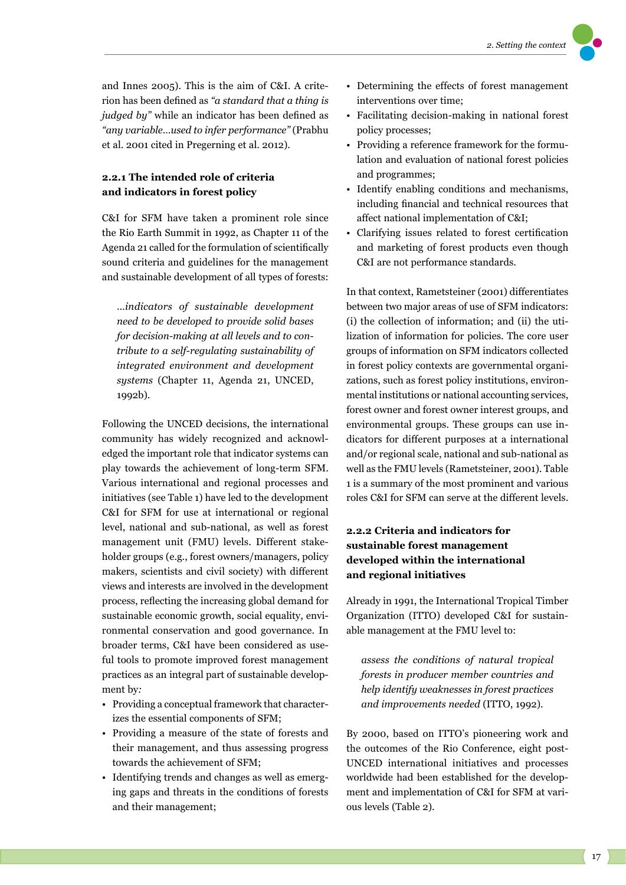and Innes 2005). This is the aim of C&I. A criterion has been defined as *"a standard that a thing is judged by"* while an indicator has been defined as *"any variable…used to infer performance"* (Prabhu et al. 2001 cited in Pregerning et al. 2012).

# **2.2.1 The intended role of criteria and indicators in forest policy**

C&I for SFM have taken a prominent role since the Rio Earth Summit in 1992, as Chapter 11 of the Agenda 21 called for the formulation of scientifically sound criteria and guidelines for the management and sustainable development of all types of forests:

…*indicators of sustainable development need to be developed to provide solid bases for decision-making at all levels and to contribute to a self-regulating sustainability of integrated environment and development systems* (Chapter 11, Agenda 21, UNCED, 1992b).

Following the UNCED decisions, the international community has widely recognized and acknowledged the important role that indicator systems can play towards the achievement of long-term SFM. Various international and regional processes and initiatives (see Table 1) have led to the development C&I for SFM for use at international or regional level, national and sub-national, as well as forest management unit (FMU) levels. Different stakeholder groups (e.g., forest owners/managers, policy makers, scientists and civil society) with different views and interests are involved in the development process, reflecting the increasing global demand for sustainable economic growth, social equality, environmental conservation and good governance. In broader terms, C&I have been considered as useful tools to promote improved forest management practices as an integral part of sustainable development by*:* 

- Providing a conceptual framework that characterizes the essential components of SFM;
- Providing a measure of the state of forests and their management, and thus assessing progress towards the achievement of SFM;
- Identifying trends and changes as well as emerging gaps and threats in the conditions of forests and their management;
- Determining the effects of forest management interventions over time;
- Facilitating decision-making in national forest policy processes;
- Providing a reference framework for the formulation and evaluation of national forest policies and programmes;
- Identify enabling conditions and mechanisms, including financial and technical resources that affect national implementation of C&I;
- Clarifying issues related to forest certification and marketing of forest products even though C&I are not performance standards.

In that context, Rametsteiner (2001) differentiates between two major areas of use of SFM indicators: (i) the collection of information; and (ii) the utilization of information for policies. The core user groups of information on SFM indicators collected in forest policy contexts are governmental organizations, such as forest policy institutions, environmental institutions or national accounting services, forest owner and forest owner interest groups, and environmental groups. These groups can use indicators for different purposes at a international and/or regional scale, national and sub-national as well as the FMU levels (Rametsteiner, 2001). Table 1 is a summary of the most prominent and various roles C&I for SFM can serve at the different levels.

# **2.2.2 Criteria and indicators for sustainable forest management developed within the international and regional initiatives**

Already in 1991, the International Tropical Timber Organization (ITTO) developed C&I for sustainable management at the FMU level to:

*assess the conditions of natural tropical forests in producer member countries and help identify weaknesses in forest practices and improvements needed* (ITTO, 1992).

By 2000, based on ITTO's pioneering work and the outcomes of the Rio Conference, eight post-UNCED international initiatives and processes worldwide had been established for the development and implementation of C&I for SFM at various levels (Table 2).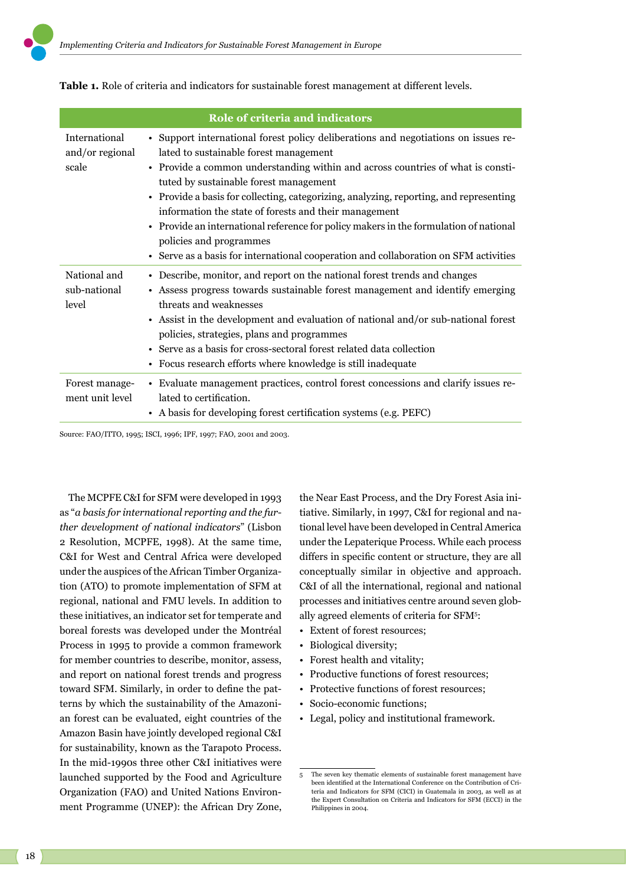| Role of criteria and indicators           |                                                                                                                                                                                                                                                                                                                                                                                                                                                                                                                                                                                                                          |  |  |  |  |  |  |  |
|-------------------------------------------|--------------------------------------------------------------------------------------------------------------------------------------------------------------------------------------------------------------------------------------------------------------------------------------------------------------------------------------------------------------------------------------------------------------------------------------------------------------------------------------------------------------------------------------------------------------------------------------------------------------------------|--|--|--|--|--|--|--|
| International<br>and/or regional<br>scale | • Support international forest policy deliberations and negotiations on issues re-<br>lated to sustainable forest management<br>• Provide a common understanding within and across countries of what is consti-<br>tuted by sustainable forest management<br>• Provide a basis for collecting, categorizing, analyzing, reporting, and representing<br>information the state of forests and their management<br>• Provide an international reference for policy makers in the formulation of national<br>policies and programmes<br>• Serve as a basis for international cooperation and collaboration on SFM activities |  |  |  |  |  |  |  |
| National and<br>sub-national<br>level     | • Describe, monitor, and report on the national forest trends and changes<br>• Assess progress towards sustainable forest management and identify emerging<br>threats and weaknesses<br>• Assist in the development and evaluation of national and/or sub-national forest<br>policies, strategies, plans and programmes<br>• Serve as a basis for cross-sectoral forest related data collection<br>• Focus research efforts where knowledge is still inadequate                                                                                                                                                          |  |  |  |  |  |  |  |
| Forest manage-<br>ment unit level         | • Evaluate management practices, control forest concessions and clarify issues re-<br>lated to certification.<br>• A basis for developing forest certification systems (e.g. PEFC)                                                                                                                                                                                                                                                                                                                                                                                                                                       |  |  |  |  |  |  |  |

**Table 1.** Role of criteria and indicators for sustainable forest management at different levels.

Source: FAO/ITTO, 1995; ISCI, 1996; IPF, 1997; FAO, 2001 and 2003.

The MCPFE C&I for SFM were developed in 1993 as "*a basis for international reporting and the further development of national indicators*" (Lisbon 2 Resolution, MCPFE, 1998). At the same time, C&I for West and Central Africa were developed under the auspices of the African Timber Organization (ATO) to promote implementation of SFM at regional, national and FMU levels. In addition to these initiatives, an indicator set for temperate and boreal forests was developed under the Montréal Process in 1995 to provide a common framework for member countries to describe, monitor, assess, and report on national forest trends and progress toward SFM. Similarly, in order to define the patterns by which the sustainability of the Amazonian forest can be evaluated, eight countries of the Amazon Basin have jointly developed regional C&I for sustainability, known as the Tarapoto Process. In the mid-1990s three other C&I initiatives were launched supported by the Food and Agriculture Organization (FAO) and United Nations Environment Programme (UNEP): the African Dry Zone,

the Near East Process, and the Dry Forest Asia initiative. Similarly, in 1997, C&I for regional and national level have been developed in Central America under the Lepaterique Process. While each process differs in specific content or structure, they are all conceptually similar in objective and approach. C&I of all the international, regional and national processes and initiatives centre around seven globally agreed elements of criteria for SFM5 :

- Extent of forest resources;
- Biological diversity;
- Forest health and vitality;
- Productive functions of forest resources;
- Protective functions of forest resources;
- Socio-economic functions;
- Legal, policy and institutional framework.

<sup>5</sup> The seven key thematic elements of sustainable forest management have been identified at the International Conference on the Contribution of Criteria and Indicators for SFM (CICI) in Guatemala in 2003, as well as at the Expert Consultation on Criteria and Indicators for SFM (ECCI) in the Philippines in 2004.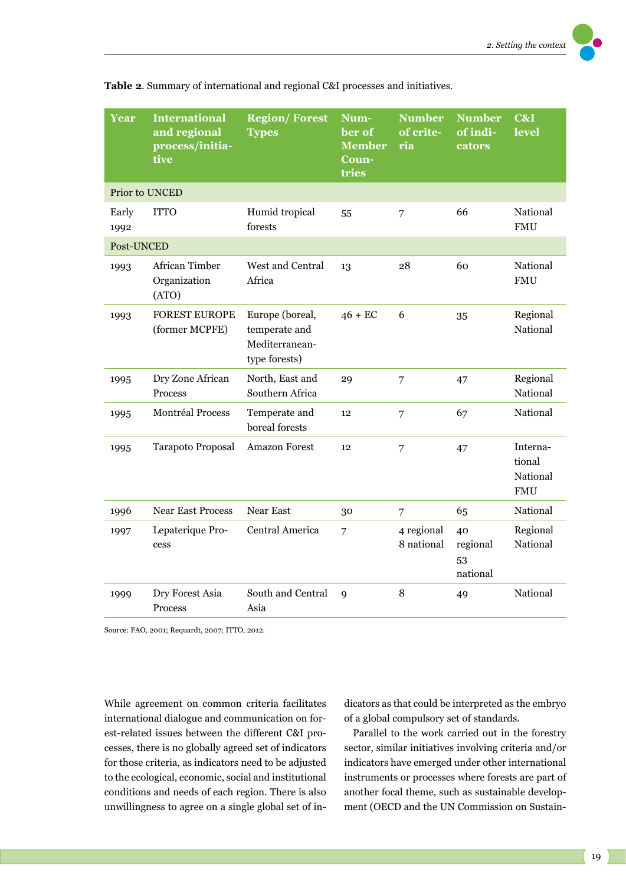| <b>Year</b>    | <b>International</b><br>and regional<br>process/initia-<br>tive | <b>Region/Forest</b><br><b>Types</b>                                | Num-<br>ber of<br><b>Member</b><br>Coun-<br>tries | <b>Number</b><br>of crite-<br>ria | <b>Number</b><br>of indi-<br>cators | C&I<br>level                                 |  |
|----------------|-----------------------------------------------------------------|---------------------------------------------------------------------|---------------------------------------------------|-----------------------------------|-------------------------------------|----------------------------------------------|--|
| Prior to UNCED |                                                                 |                                                                     |                                                   |                                   |                                     |                                              |  |
| Early<br>1992  | <b>ITTO</b>                                                     | Humid tropical<br>forests                                           | 55                                                | $\overline{7}$                    | 66                                  | National<br><b>FMU</b>                       |  |
| Post-UNCED     |                                                                 |                                                                     |                                                   |                                   |                                     |                                              |  |
| 1993           | African Timber<br>Organization<br>(ATO)                         | West and Central<br>Africa                                          | 13                                                | 28                                | 60                                  | National<br><b>FMU</b>                       |  |
| 1993           | <b>FOREST EUROPE</b><br>(former MCPFE)                          | Europe (boreal,<br>temperate and<br>Mediterranean-<br>type forests) | $46 + EC$                                         | 6                                 | 35                                  | Regional<br>National                         |  |
| 1995           | Dry Zone African<br>Process                                     | North, East and<br>Southern Africa                                  | 29                                                | $\overline{7}$                    | 47                                  | Regional<br>National                         |  |
| 1995           | Montréal Process                                                | Temperate and<br>boreal forests                                     | 12                                                | $\overline{7}$                    | 67                                  | National                                     |  |
| 1995           | Tarapoto Proposal                                               | Amazon Forest                                                       | 12                                                | $\overline{7}$                    | 47                                  | Interna-<br>tional<br>National<br><b>FMU</b> |  |
| 1996           | <b>Near East Process</b>                                        | Near East                                                           | 30                                                | 7                                 | 65                                  | National                                     |  |
| 1997           | Lepaterique Pro-<br>cess                                        | Central America                                                     | $\overline{7}$                                    | 4 regional<br>8 national          | 40<br>regional<br>53<br>national    | Regional<br>National                         |  |
| 1999           | Dry Forest Asia<br>Process                                      | South and Central<br>Asia                                           | 9                                                 | 8                                 | 49                                  | National                                     |  |

**Table 2**. Summary of international and regional C&I processes and initiatives.

Source: FAO, 2001; Requardt, 2007; ITTO, 2012.

While agreement on common criteria facilitates international dialogue and communication on forest-related issues between the different C&I processes, there is no globally agreed set of indicators for those criteria, as indicators need to be adjusted to the ecological, economic, social and institutional conditions and needs of each region. There is also unwillingness to agree on a single global set of in-

dicators as that could be interpreted as the embryo of a global compulsory set of standards.

Parallel to the work carried out in the forestry sector, similar initiatives involving criteria and/or indicators have emerged under other international instruments or processes where forests are part of another focal theme, such as sustainable development (OECD and the UN Commission on Sustain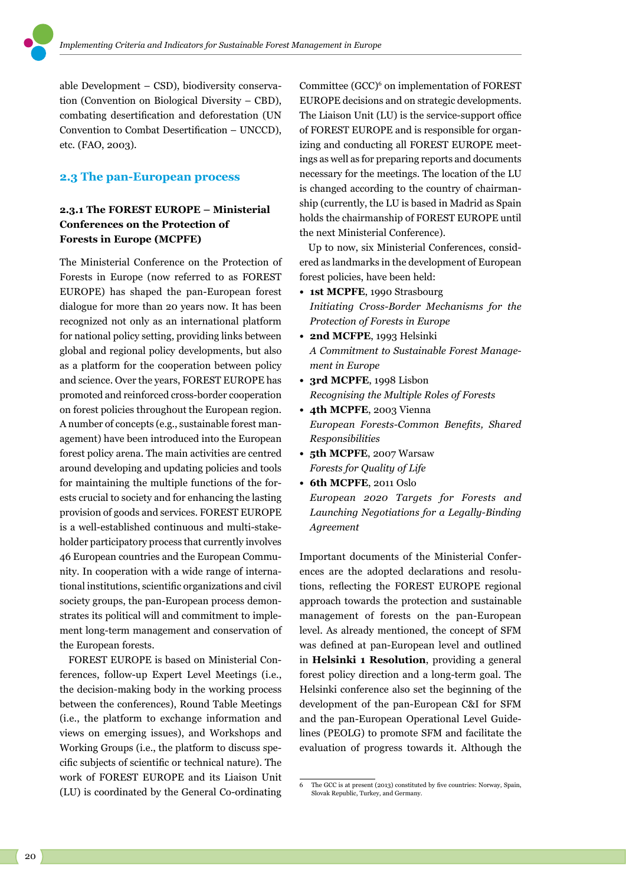able Development – CSD), biodiversity conservation (Convention on Biological Diversity – CBD), combating desertification and deforestation (UN Convention to Combat Desertification – UNCCD), etc. (FAO, 2003).

## **2.3 The pan-European process**

# **2.3.1 The FOREST EUROPE – Ministerial Conferences on the Protection of Forests in Europe (MCPFE)**

The Ministerial Conference on the Protection of Forests in Europe (now referred to as FOREST EUROPE) has shaped the pan-European forest dialogue for more than 20 years now. It has been recognized not only as an international platform for national policy setting, providing links between global and regional policy developments, but also as a platform for the cooperation between policy and science. Over the years, FOREST EUROPE has promoted and reinforced cross-border cooperation on forest policies throughout the European region. A number of concepts (e.g., sustainable forest management) have been introduced into the European forest policy arena. The main activities are centred around developing and updating policies and tools for maintaining the multiple functions of the forests crucial to society and for enhancing the lasting provision of goods and services. FOREST EUROPE is a well-established continuous and multi-stakeholder participatory process that currently involves 46 European countries and the European Community. In cooperation with a wide range of international institutions, scientific organizations and civil society groups, the pan-European process demonstrates its political will and commitment to implement long-term management and conservation of the European forests.

FOREST EUROPE is based on Ministerial Conferences, follow-up Expert Level Meetings (i.e., the decision-making body in the working process between the conferences), Round Table Meetings (i.e., the platform to exchange information and views on emerging issues), and Workshops and Working Groups (i.e., the platform to discuss specific subjects of scientific or technical nature). The work of FOREST EUROPE and its Liaison Unit (LU) is coordinated by the General Co-ordinating

Committee (GCC)<sup>6</sup> on implementation of FOREST EUROPE decisions and on strategic developments. The Liaison Unit (LU) is the service-support office of FOREST EUROPE and is responsible for organizing and conducting all FOREST EUROPE meetings as well as for preparing reports and documents necessary for the meetings. The location of the LU is changed according to the country of chairmanship (currently, the LU is based in Madrid as Spain holds the chairmanship of FOREST EUROPE until the next Ministerial Conference).

Up to now, six Ministerial Conferences, considered as landmarks in the development of European forest policies, have been held:

- **• 1st MCPFE**, 1990 Strasbourg *Initiating Cross-Border Mechanisms for the Protection of Forests in Europe*
- **• 2nd MCFPE**, 1993 Helsinki *A Commitment to Sustainable Forest Management in Europe*
- **• 3rd MCPFE**, 1998 Lisbon *Recognising the Multiple Roles of Forests*
- **• 4th MCPFE**, 2003 Vienna *European Forests-Common Benefits, Shared Responsibilities*
- **• 5th MCPFE**, 2007 Warsaw *Forests for Quality of Life*
- **• 6th MCPFE**, 2011 Oslo *European 2020 Targets for Forests and Launching Negotiations for a Legally-Binding Agreement*

Important documents of the Ministerial Conferences are the adopted declarations and resolutions, reflecting the FOREST EUROPE regional approach towards the protection and sustainable management of forests on the pan-European level. As already mentioned, the concept of SFM was defined at pan-European level and outlined in **Helsinki 1 Resolution**, providing a general forest policy direction and a long-term goal. The Helsinki conference also set the beginning of the development of the pan-European C&I for SFM and the pan-European Operational Level Guidelines (PEOLG) to promote SFM and facilitate the evaluation of progress towards it. Although the

<sup>6</sup> The GCC is at present (2013) constituted by five countries: Norway, Spain, Slovak Republic, Turkey, and Germany.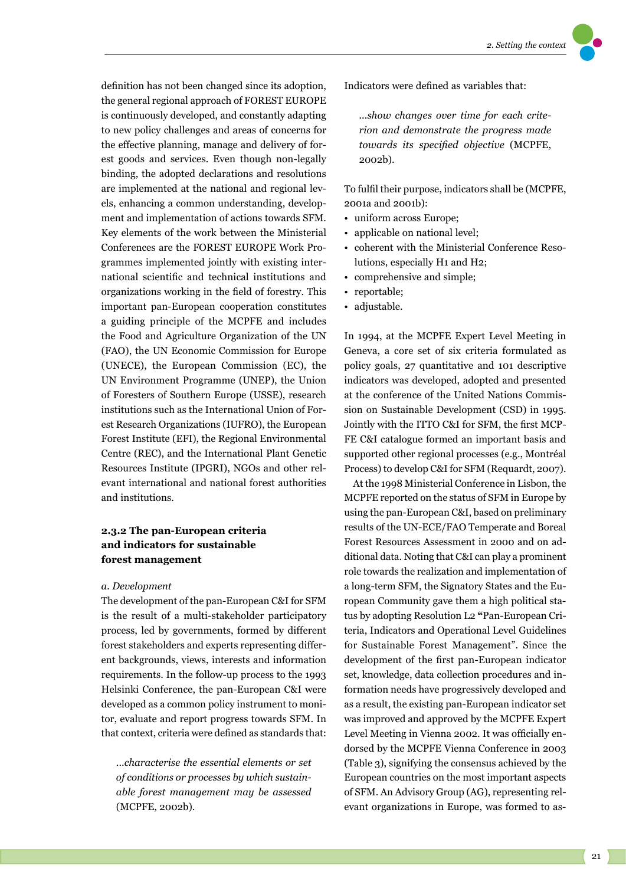definition has not been changed since its adoption, the general regional approach of FOREST EUROPE is continuously developed, and constantly adapting to new policy challenges and areas of concerns for the effective planning, manage and delivery of forest goods and services. Even though non-legally binding, the adopted declarations and resolutions are implemented at the national and regional levels, enhancing a common understanding, development and implementation of actions towards SFM. Key elements of the work between the Ministerial Conferences are the FOREST EUROPE Work Programmes implemented jointly with existing international scientific and technical institutions and organizations working in the field of forestry. This important pan-European cooperation constitutes a guiding principle of the MCPFE and includes the Food and Agriculture Organization of the UN (FAO), the UN Economic Commission for Europe (UNECE), the European Commission (EC), the UN Environment Programme (UNEP), the Union of Foresters of Southern Europe (USSE), research institutions such as the International Union of Forest Research Organizations (IUFRO), the European Forest Institute (EFI), the Regional Environmental Centre (REC), and the International Plant Genetic Resources Institute (IPGRI), NGOs and other relevant international and national forest authorities and institutions.

# **2.3.2 The pan-European criteria and indicators for sustainable forest management**

#### *a. Development*

The development of the pan-European C&I for SFM is the result of a multi-stakeholder participatory process, led by governments, formed by different forest stakeholders and experts representing different backgrounds, views, interests and information requirements. In the follow-up process to the 1993 Helsinki Conference, the pan-European C&I were developed as a common policy instrument to monitor, evaluate and report progress towards SFM. In that context, criteria were defined as standards that:

...*characterise the essential elements or set of conditions or processes by which sustainable forest management may be assessed* (MCPFE, 2002b).

Indicators were defined as variables that:

...*show changes over time for each criterion and demonstrate the progress made towards its specified objective* (MCPFE, 2002b).

To fulfil their purpose, indicators shall be (MCPFE, 2001a and 2001b):

- uniform across Europe;
- applicable on national level;
- coherent with the Ministerial Conference Resolutions, especially H1 and H2;
- comprehensive and simple;
- reportable;
- adjustable.

In 1994, at the MCPFE Expert Level Meeting in Geneva, a core set of six criteria formulated as policy goals, 27 quantitative and 101 descriptive indicators was developed, adopted and presented at the conference of the United Nations Commission on Sustainable Development (CSD) in 1995. Jointly with the ITTO C&I for SFM, the first MCP-FE C&I catalogue formed an important basis and supported other regional processes (e.g., Montréal Process) to develop C&I for SFM (Requardt, 2007).

At the 1998 Ministerial Conference in Lisbon, the MCPFE reported on the status of SFM in Europe by using the pan-European C&I, based on preliminary results of the UN-ECE/FAO Temperate and Boreal Forest Resources Assessment in 2000 and on additional data. Noting that C&I can play a prominent role towards the realization and implementation of a long-term SFM, the Signatory States and the European Community gave them a high political status by adopting Resolution L2 **"**Pan-European Criteria, Indicators and Operational Level Guidelines for Sustainable Forest Management". Since the development of the first pan-European indicator set, knowledge, data collection procedures and information needs have progressively developed and as a result, the existing pan-European indicator set was improved and approved by the MCPFE Expert Level Meeting in Vienna 2002. It was officially endorsed by the MCPFE Vienna Conference in 2003 (Table 3), signifying the consensus achieved by the European countries on the most important aspects of SFM. An Advisory Group (AG), representing relevant organizations in Europe, was formed to as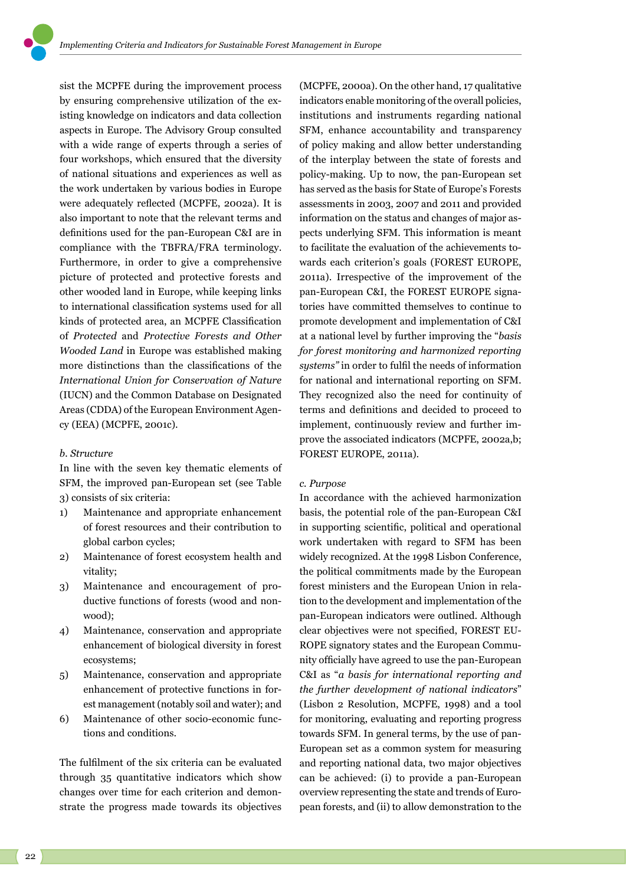sist the MCPFE during the improvement process by ensuring comprehensive utilization of the existing knowledge on indicators and data collection aspects in Europe. The Advisory Group consulted with a wide range of experts through a series of four workshops, which ensured that the diversity of national situations and experiences as well as the work undertaken by various bodies in Europe were adequately reflected (MCPFE, 2002a). It is also important to note that the relevant terms and definitions used for the pan-European C&I are in compliance with the TBFRA/FRA terminology. Furthermore, in order to give a comprehensive picture of protected and protective forests and other wooded land in Europe, while keeping links to international classification systems used for all kinds of protected area, an MCPFE Classification of *Protected* and *Protective Forests and Other Wooded Land* in Europe was established making more distinctions than the classifications of the *International Union for Conservation of Nature* (IUCN) and the Common Database on Designated Areas (CDDA) of the European Environment Agency (EEA) (MCPFE, 2001c).

## *b. Structure*

In line with the seven key thematic elements of SFM, the improved pan-European set (see Table 3) consists of six criteria:

- 1) Maintenance and appropriate enhancement of forest resources and their contribution to global carbon cycles;
- 2) Maintenance of forest ecosystem health and vitality;
- 3) Maintenance and encouragement of productive functions of forests (wood and nonwood);
- 4) Maintenance, conservation and appropriate enhancement of biological diversity in forest ecosystems;
- 5) Maintenance, conservation and appropriate enhancement of protective functions in forest management (notably soil and water); and
- 6) Maintenance of other socio-economic functions and conditions.

The fulfilment of the six criteria can be evaluated through 35 quantitative indicators which show changes over time for each criterion and demonstrate the progress made towards its objectives

(MCPFE, 2000a). On the other hand, 17 qualitative indicators enable monitoring of the overall policies, institutions and instruments regarding national SFM, enhance accountability and transparency of policy making and allow better understanding of the interplay between the state of forests and policy-making. Up to now, the pan-European set has served as the basis for State of Europe's Forests assessments in 2003, 2007 and 2011 and provided information on the status and changes of major aspects underlying SFM. This information is meant to facilitate the evaluation of the achievements towards each criterion's goals (FOREST EUROPE, 2011a). Irrespective of the improvement of the pan-European C&I, the FOREST EUROPE signatories have committed themselves to continue to promote development and implementation of C&I at a national level by further improving the "*basis for forest monitoring and harmonized reporting systems"* in order to fulfil the needs of information for national and international reporting on SFM. They recognized also the need for continuity of terms and definitions and decided to proceed to implement, continuously review and further improve the associated indicators (MCPFE, 2002a,b; FOREST EUROPE, 2011a).

## *c. Purpose*

In accordance with the achieved harmonization basis, the potential role of the pan-European C&I in supporting scientific, political and operational work undertaken with regard to SFM has been widely recognized. At the 1998 Lisbon Conference, the political commitments made by the European forest ministers and the European Union in relation to the development and implementation of the pan-European indicators were outlined. Although clear objectives were not specified, FOREST EU-ROPE signatory states and the European Community officially have agreed to use the pan-European C&I as "*a basis for international reporting and the further development of national indicators*" (Lisbon 2 Resolution, MCPFE, 1998) and a tool for monitoring, evaluating and reporting progress towards SFM. In general terms, by the use of pan-European set as a common system for measuring and reporting national data, two major objectives can be achieved: (i) to provide a pan-European overview representing the state and trends of European forests, and (ii) to allow demonstration to the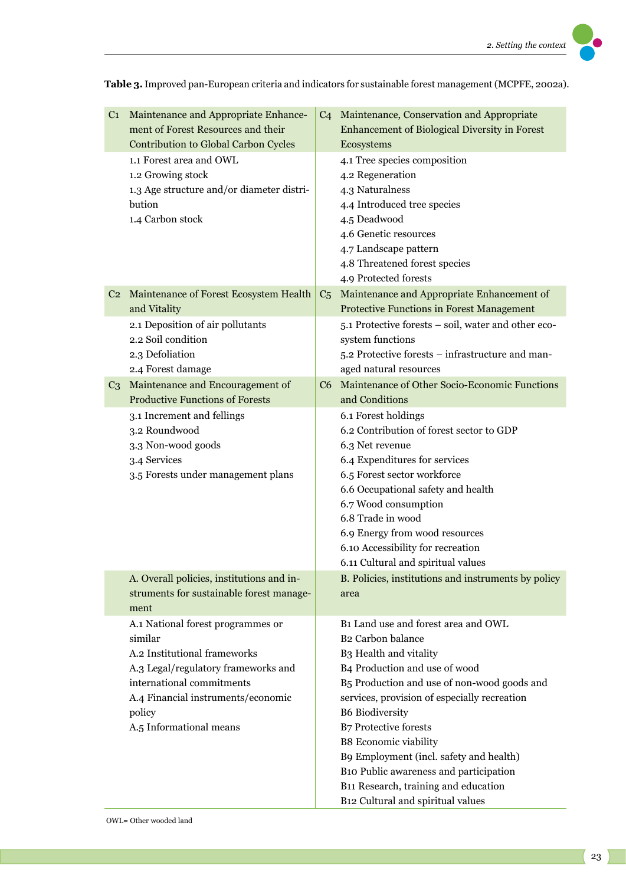C1 Maintenance and Appropriate Enhancement of Forest Resources and their Contribution to Global Carbon Cycles C4 Maintenance, Conservation and Appropriate Enhancement of Biological Diversity in Forest Ecosystems 1.1 Forest area and OWL 1.2 Growing stock 1.3 Age structure and/or diameter distribution 1.4 Carbon stock 4.1 Tree species composition 4.2 Regeneration 4.3 Naturalness 4.4 Introduced tree species 4.5 Deadwood 4.6 Genetic resources 4.7 Landscape pattern 4.8 Threatened forest species 4.9 Protected forests C2 Maintenance of Forest Ecosystem Health and Vitality C5 Maintenance and Appropriate Enhancement of Protective Functions in Forest Management 2.1 Deposition of air pollutants 2.2 Soil condition 2.3 Defoliation 2.4 Forest damage 5.1 Protective forests – soil, water and other ecosystem functions 5.2 Protective forests – infrastructure and managed natural resources C3 Maintenance and Encouragement of Productive Functions of Forests C6 Maintenance of Other Socio-Economic Functions and Conditions 3.1 Increment and fellings 3.2 Roundwood 3.3 Non-wood goods 3.4 Services 3.5 Forests under management plans 6.1 Forest holdings 6.2 Contribution of forest sector to GDP 6.3 Net revenue 6.4 Expenditures for services 6.5 Forest sector workforce 6.6 Occupational safety and health 6.7 Wood consumption 6.8 Trade in wood 6.9 Energy from wood resources 6.10 Accessibility for recreation 6.11 Cultural and spiritual values A. Overall policies, institutions and instruments for sustainable forest management B. Policies, institutions and instruments by policy area A.1 National forest programmes or similar A.2 Institutional frameworks A.3 Legal/regulatory frameworks and international commitments A.4 Financial instruments/economic policy A.5 Informational means B1 Land use and forest area and OWL B2 Carbon balance B3 Health and vitality B4 Production and use of wood B5 Production and use of non-wood goods and services, provision of especially recreation B6 Biodiversity B7 Protective forests B8 Economic viability B9 Employment (incl. safety and health) B10 Public awareness and participation B11 Research, training and education B12 Cultural and spiritual values

**Table 3.** Improved pan-European criteria and indicators for sustainable forest management (MCPFE, 2002a).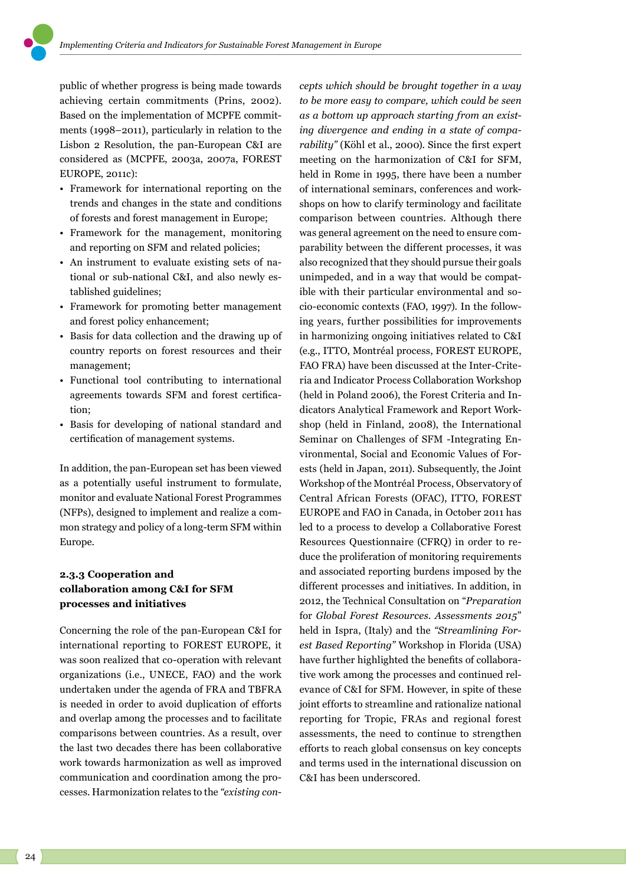public of whether progress is being made towards achieving certain commitments (Prins, 2002). Based on the implementation of MCPFE commitments (1998–2011), particularly in relation to the Lisbon 2 Resolution, the pan-European C&I are considered as (MCPFE, 2003a, 2007a, FOREST EUROPE, 2011c):

- Framework for international reporting on the trends and changes in the state and conditions of forests and forest management in Europe;
- Framework for the management, monitoring and reporting on SFM and related policies;
- An instrument to evaluate existing sets of national or sub-national C&I, and also newly established guidelines;
- Framework for promoting better management and forest policy enhancement;
- Basis for data collection and the drawing up of country reports on forest resources and their management;
- Functional tool contributing to international agreements towards SFM and forest certification;
- Basis for developing of national standard and certification of management systems.

In addition, the pan-European set has been viewed as a potentially useful instrument to formulate, monitor and evaluate National Forest Programmes (NFPs), designed to implement and realize a common strategy and policy of a long-term SFM within Europe.

# **2.3.3 Cooperation and collaboration among C&I for SFM processes and initiatives**

Concerning the role of the pan-European C&I for international reporting to FOREST EUROPE, it was soon realized that co-operation with relevant organizations (i.e., UNECE, FAO) and the work undertaken under the agenda of FRA and TBFRA is needed in order to avoid duplication of efforts and overlap among the processes and to facilitate comparisons between countries. As a result, over the last two decades there has been collaborative work towards harmonization as well as improved communication and coordination among the processes. Harmonization relates to the *"existing con-*

*cepts which should be brought together in a way to be more easy to compare, which could be seen as a bottom up approach starting from an existing divergence and ending in a state of comparability"* (Köhl et al., 2000). Since the first expert meeting on the harmonization of C&I for SFM, held in Rome in 1995, there have been a number of international seminars, conferences and workshops on how to clarify terminology and facilitate comparison between countries. Although there was general agreement on the need to ensure comparability between the different processes, it was also recognized that they should pursue their goals unimpeded, and in a way that would be compatible with their particular environmental and socio-economic contexts (FAO, 1997). In the following years, further possibilities for improvements in harmonizing ongoing initiatives related to C&I (e.g., ITTO, Montréal process, FOREST EUROPE, FAO FRA) have been discussed at the Inter-Criteria and Indicator Process Collaboration Workshop (held in Poland 2006), the Forest Criteria and Indicators Analytical Framework and Report Workshop (held in Finland, 2008), the International Seminar on Challenges of SFM -Integrating Environmental, Social and Economic Values of Forests (held in Japan, 2011). Subsequently, the Joint Workshop of the Montréal Process, Observatory of Central African Forests (OFAC), ITTO, FOREST EUROPE and FAO in Canada, in October 2011 has led to a process to develop a Collaborative Forest Resources Questionnaire (CFRQ) in order to reduce the proliferation of monitoring requirements and associated reporting burdens imposed by the different processes and initiatives. In addition, in 2012, the Technical Consultation on "*Preparation* for *Global Forest Resources*. *Assessments 2015*" held in Ispra, (Italy) and the *"Streamlining Forest Based Reporting"* Workshop in Florida (USA) have further highlighted the benefits of collaborative work among the processes and continued relevance of C&I for SFM. However, in spite of these joint efforts to streamline and rationalize national reporting for Tropic, FRAs and regional forest assessments, the need to continue to strengthen efforts to reach global consensus on key concepts and terms used in the international discussion on C&I has been underscored.